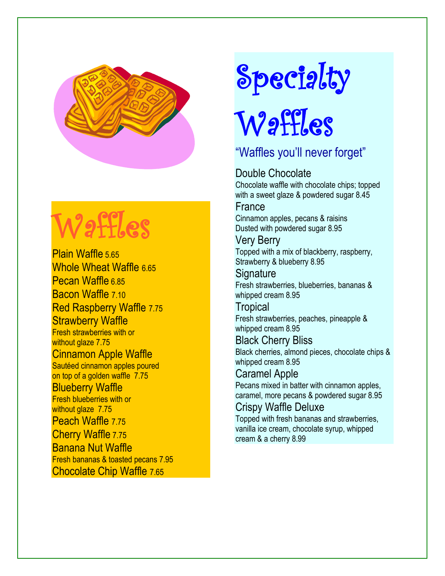

# Waffles

Plain Waffle 5.65 Whole Wheat Waffle 6.65 Pecan Waffle 6.85 Bacon Waffle 7.10 Red Raspberry Waffle 7.75 **Strawberry Waffle** Fresh strawberries with or without glaze 7.75

Cinnamon Apple Waffle Sautéed cinnamon apples poured on top of a golden waffle 7.75 Blueberry Waffle

Fresh blueberries with or without glaze 7.75 Peach Waffle 7.75 Cherry Waffle 7.75 Banana Nut Waffle Fresh bananas & toasted pecans 7.95 Chocolate Chip Waffle 7.65

# Specialty

# Waffles

#### "Waffles you'll never forget"

#### Double Chocolate

Chocolate waffle with chocolate chips; topped with a sweet glaze & powdered sugar 8.45

#### France

Cinnamon apples, pecans & raisins Dusted with powdered sugar 8.95

#### Very Berry Topped with a mix of blackberry, raspberry,

Strawberry & blueberry 8.95

#### **Signature**

Fresh strawberries, blueberries, bananas & whipped cream 8.95

#### **Tropical**

Fresh strawberries, peaches, pineapple & whipped cream 8.95

#### Black Cherry Bliss

Black cherries, almond pieces, chocolate chips & whipped cream 8.95

#### Caramel Apple

Pecans mixed in batter with cinnamon apples, caramel, more pecans & powdered sugar 8.95

#### Crispy Waffle Deluxe

Topped with fresh bananas and strawberries, vanilla ice cream, chocolate syrup, whipped cream & a cherry 8.99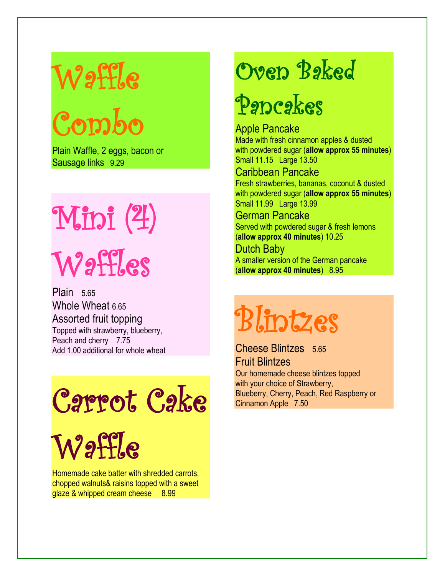## Waffle

Combo

Plain Waffle, 2 eggs, bacon or Sausage links 9.29

# Mini (4) Waffles

Plain 5.65 Whole Wheat 6.65 Assorted fruit topping Topped with strawberry, blueberry, Peach and cherry 7.75 Add 1.00 additional for whole wheat

# Carrot Cake

Waffle

Homemade cake batter with shredded carrots, chopped walnuts& raisins topped with a sweet glaze & whipped cream cheese 8.99

### Oven Baked

### Pancakes

Apple Pancake Made with fresh cinnamon apples & dusted with powdered sugar (**allow approx 55 minutes**) Small 11.15 Large 13.50

#### Caribbean Pancake

Fresh strawberries, bananas, coconut & dusted with powdered sugar (**allow approx 55 minutes**) Small 11.99 Large 13.99

#### German Pancake

Served with powdered sugar & fresh lemons (**allow approx 40 minutes**) 10.25

#### Dutch Baby

A smaller version of the German pancake (**allow approx 40 minutes**) 8.95

# Blintzes

Cheese Blintzes 5.65 Fruit Blintzes Our homemade cheese blintzes topped with your choice of Strawberry, Blueberry, Cherry, Peach, Red Raspberry or Cinnamon Apple 7.50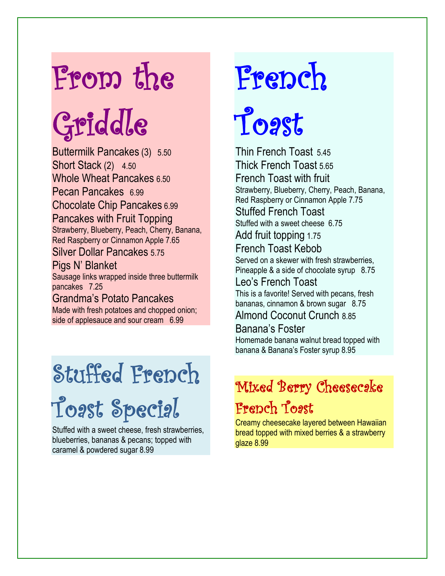## From the

# Griddle

Buttermilk Pancakes (3) 5.50 Short Stack (2) 4.50 Whole Wheat Pancakes 6.50 Pecan Pancakes 6.99 Chocolate Chip Pancakes 6.99 Pancakes with Fruit Topping Strawberry, Blueberry, Peach, Cherry, Banana, Red Raspberry or Cinnamon Apple 7.65 Silver Dollar Pancakes 5.75 Pigs N' Blanket

Sausage links wrapped inside three buttermilk pancakes 7.25

Grandma's Potato Pancakes Made with fresh potatoes and chopped onion; side of applesauce and sour cream 6.99

## Stuffed French

Toast Special

Stuffed with a sweet cheese, fresh strawberries, blueberries, bananas & pecans; topped with caramel & powdered sugar 8.99

# French

# Toast

Thin French Toast 5.45 Thick French Toast 5.65 French Toast with fruit Strawberry, Blueberry, Cherry, Peach, Banana, Red Raspberry or Cinnamon Apple 7.75 Stuffed French Toast Stuffed with a sweet cheese 6.75 Add fruit topping 1.75 French Toast Kebob Served on a skewer with fresh strawberries, Pineapple & a side of chocolate syrup 8.75 Leo's French Toast This is a favorite! Served with pecans, fresh bananas, cinnamon & brown sugar 8.75 Almond Coconut Crunch 8.85 Banana's Foster

Homemade banana walnut bread topped with banana & Banana's Foster syrup 8.95

#### Mixed Berry Cheesecake French Toast

Creamy cheesecake layered between Hawaiian bread topped with mixed berries & a strawberry glaze 8.99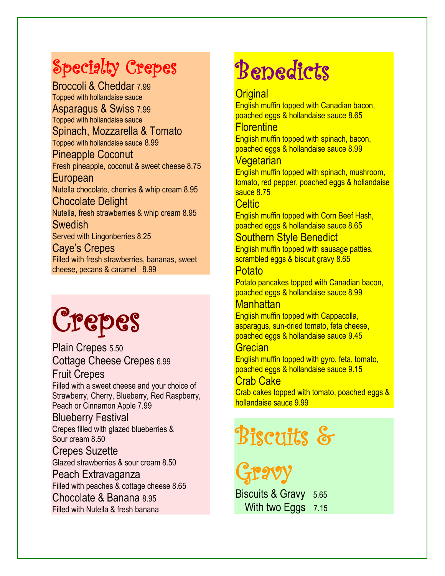### Specialty Crepes

Broccoli & Cheddar 7.99 Topped with hollandaise sauce Asparagus & Swiss 7.99 Topped with hollandaise sauce Spinach, Mozzarella & Tomato Topped with hollandaise sauce 8.99 Pineapple Coconut Fresh pineapple, coconut & sweet cheese 8.75 European Nutella chocolate, cherries & whip cream 8.95 Chocolate Delight Nutella, fresh strawberries & whip cream 8.95 **Swedish** Served with Lingonberries 8.25 Caye's Crepes Filled with fresh strawberries, bananas, sweet cheese, pecans & caramel 8.99

## Crepes

Plain Crepes 5.50 Cottage Cheese Crepes 6.99

#### Fruit Crepes

Filled with a sweet cheese and your choice of Strawberry, Cherry, Blueberry, Red Raspberry, Peach or Cinnamon Apple 7.99

#### Blueberry Festival

Crepes filled with glazed blueberries & Sour cream 8.50

#### Crepes Suzette

Glazed strawberries & sour cream 8.50

#### Peach Extravaganza

Filled with peaches & cottage cheese 8.65

Chocolate & Banana 8.95 Filled with Nutella & fresh banana

## **Benedicts**

#### **Original**

English muffin topped with Canadian bacon, poached eggs & hollandaise sauce 8.65

#### **Florentine**

English muffin topped with spinach, bacon, poached eggs & hollandaise sauce 8.99

#### Vegetarian

English muffin topped with spinach, mushroom, tomato, red pepper, poached eggs & hollandaise sauce 8.75

#### Celtic<sub>1</sub>

English muffin topped with Corn Beef Hash, poached eggs & hollandaise sauce 8.65

#### Southern Style Benedict

English muffin topped with sausage patties, scrambled eggs & biscuit gravy 8.65

#### **Potato**

Potato pancakes topped with Canadian bacon, poached eggs & hollandaise sauce 8.99

#### **Manhattan**

English muffin topped with Cappacolla, asparagus, sun-dried tomato, feta cheese, poached eggs & hollandaise sauce 9.45

#### **Grecian**

English muffin topped with gyro, feta, tomato, poached eggs & hollandaise sauce 9.15

#### Crab Cake

Crab cakes topped with tomato, poached eggs & hollandaise sauce 9.99

### Biscuits &

Gravy

Biscuits & Gravy 5.65 With two Eggs 7.15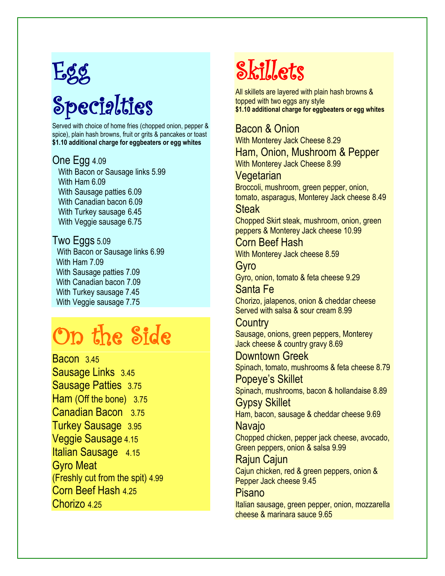## Egg

## Specialties

Served with choice of home fries (chopped onion, pepper & spice), plain hash browns, fruit or grits & pancakes or toast **\$1.10 additional charge for eggbeaters or egg whites**

#### One Egg 4.09

 With Bacon or Sausage links 5.99 With Ham 6.09 With Sausage patties 6.09 With Canadian bacon 6.09 With Turkey sausage 6.45 With Veggie sausage 6.75

#### Two Eggs 5.09 With Bacon or Sausage links 6.99 With Ham 7.09 With Sausage patties 7.09 With Canadian bacon 7.09 With Turkey sausage 7.45 With Veggie sausage 7.75

## On the Side

Bacon 3.45 Sausage Links 3.45 Sausage Patties 3.75 Ham (Off the bone) 3.75 Canadian Bacon 3.75 Turkey Sausage 3.95 Veggie Sausage 4.15 Italian Sausage 4.15 Gyro Meat (Freshly cut from the spit) 4.99 Corn Beef Hash 4.25 Chorizo 4.25

### Skillets

All skillets are layered with plain hash browns & topped with two eggs any style **\$1.10 additional charge for eggbeaters or egg whites**

#### Bacon & Onion With Monterey Jack Cheese 8.29 Ham, Onion, Mushroom & Pepper With Monterey Jack Cheese 8.99 Vegetarian Broccoli, mushroom, green pepper, onion, tomato, asparagus, Monterey Jack cheese 8.49 Steak

Chopped Skirt steak, mushroom, onion, green peppers & Monterey Jack cheese 10.99

Corn Beef Hash With Monterey Jack cheese 8.59

Gyro Gyro, onion, tomato & feta cheese 9.29

Santa Fe Chorizo, jalapenos, onion & cheddar cheese Served with salsa & sour cream 8.99

#### **Country**

Sausage, onions, green peppers, Monterey Jack cheese & country gravy 8.69

Downtown Greek Spinach, tomato, mushrooms & feta cheese 8.79

Popeye's Skillet Spinach, mushrooms, bacon & hollandaise 8.89 Gypsy Skillet

Ham, bacon, sausage & cheddar cheese 9.69 Navajo

Chopped chicken, pepper jack cheese, avocado, Green peppers, onion & salsa 9.99

Rajun Cajun Cajun chicken, red & green peppers, onion & Pepper Jack cheese 9.45

Pisano Italian sausage, green pepper, onion, mozzarella cheese & marinara sauce 9.65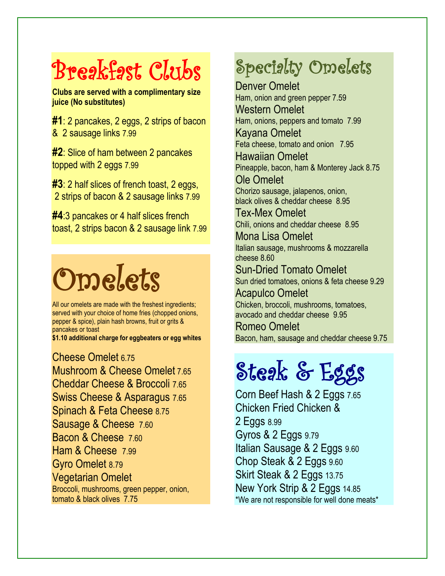## Breakfast Clubs

**Clubs are served with a complimentary size juice (No substitutes)**

**#1**: 2 pancakes, 2 eggs, 2 strips of bacon & 2 sausage links 7.99

**#2**: Slice of ham between 2 pancakes topped with 2 eggs 7.99

**#3**: 2 half slices of french toast, 2 eggs, 2 strips of bacon & 2 sausage links 7.99

**#4**:3 pancakes or 4 half slices french toast, 2 strips bacon & 2 sausage link 7.99

# Omelets

All our omelets are made with the freshest ingredients; served with your choice of home fries (chopped onions, pepper & spice), plain hash browns, fruit or grits & pancakes or toast

**\$1.10 additional charge for eggbeaters or egg whites**

Cheese Omelet 6.75 Mushroom & Cheese Omelet 7.65 Cheddar Cheese & Broccoli 7.65 Swiss Cheese & Asparagus 7.65 Spinach & Feta Cheese 8.75 Sausage & Cheese 7.60 Bacon & Cheese 7.60 Ham & Cheese 7.99 Gyro Omelet 8.79 Vegetarian Omelet Broccoli, mushrooms, green pepper, onion, tomato & black olives 7.75

### Specialty Omelets

Denver Omelet Ham, onion and green pepper 7.59 Western Omelet Ham, onions, peppers and tomato 7.99 Kayana Omelet Feta cheese, tomato and onion 7.95 Hawaiian Omelet

Pineapple, bacon, ham & Monterey Jack 8.75

Ole Omelet Chorizo sausage, jalapenos, onion, black olives & cheddar cheese 8.95

Tex-Mex Omelet Chili, onions and cheddar cheese 8.95

Mona Lisa Omelet Italian sausage, mushrooms & mozzarella cheese 8.60

Sun-Dried Tomato Omelet Sun dried tomatoes, onions & feta cheese 9.29

Acapulco Omelet Chicken, broccoli, mushrooms, tomatoes, avocado and cheddar cheese 9.95

Romeo Omelet Bacon, ham, sausage and cheddar cheese 9.75

## Steak & Eggs

Corn Beef Hash & 2 Eggs 7.65 Chicken Fried Chicken & 2 Eggs 8.99 Gyros & 2 Eggs 9.79 Italian Sausage & 2 Eggs 9.60 Chop Steak & 2 Eggs 9.60 Skirt Steak & 2 Eggs 13.75 New York Strip & 2 Eggs 14.85 \*We are not responsible for well done meats\*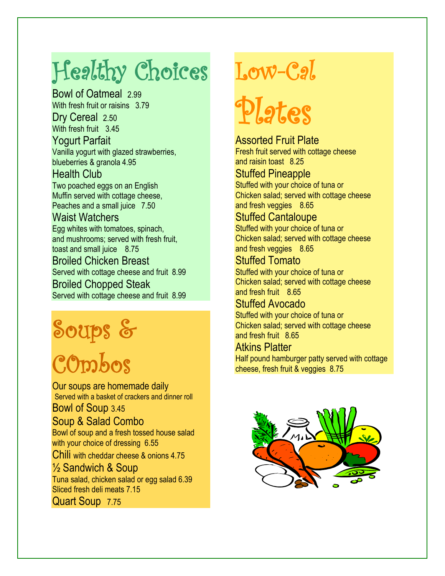## Healthy Choices

Bowl of Oatmeal 2.99 With fresh fruit or raisins 3.79 Dry Cereal 2.50 With fresh fruit 3.45 Yogurt Parfait Vanilla yogurt with glazed strawberries, blueberries & granola 4.95

Health Club

Two poached eggs on an English Muffin served with cottage cheese, Peaches and a small juice 7.50

#### Waist Watchers

Egg whites with tomatoes, spinach, and mushrooms; served with fresh fruit, toast and small juice 8.75 Broiled Chicken Breast Served with cottage cheese and fruit 8.99

Broiled Chopped Steak

Served with cottage cheese and fruit 8.99

## Soups &

## C0mbos

Our soups are homemade daily Served with a basket of crackers and dinner roll

Bowl of Soup 3.45

Soup & Salad Combo

Bowl of soup and a fresh tossed house salad with your choice of dressing 6.55

Chili with cheddar cheese & onions 4.75

½ Sandwich & Soup Tuna salad, chicken salad or egg salad 6.39 Sliced fresh deli meats 7.15 Quart Soup 7.75

## Low-Cal

# Plates

Assorted Fruit Plate Fresh fruit served with cottage cheese and raisin toast 8.25

#### Stuffed Pineapple

Stuffed with your choice of tuna or Chicken salad; served with cottage cheese and fresh veggies 8.65

#### Stuffed Cantaloupe

Stuffed with your choice of tuna or Chicken salad; served with cottage cheese and fresh veggies 8.65

Stuffed Tomato Stuffed with your choice of tuna or Chicken salad; served with cottage cheese and fresh fruit 8.65

#### Stuffed Avocado

Stuffed with your choice of tuna or Chicken salad; served with cottage cheese and fresh fruit 8.65

#### Atkins Platter

Half pound hamburger patty served with cottage cheese, fresh fruit & veggies 8.75

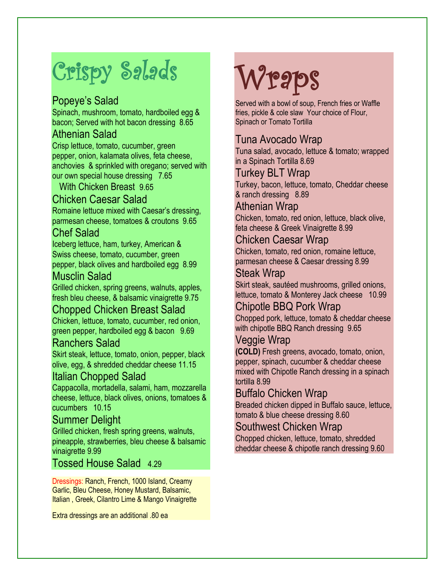## Crispy Salads

#### Popeye's Salad

Spinach, mushroom, tomato, hardboiled egg & bacon; Served with hot bacon dressing 8.65

#### Athenian Salad

Crisp lettuce, tomato, cucumber, green pepper, onion, kalamata olives, feta cheese, anchovies & sprinkled with oregano; served with our own special house dressing 7.65

With Chicken Breast 9.65

#### Chicken Caesar Salad

Romaine lettuce mixed with Caesar's dressing, parmesan cheese, tomatoes & croutons 9.65

#### Chef Salad

Iceberg lettuce, ham, turkey, American & Swiss cheese, tomato, cucumber, green pepper, black olives and hardboiled egg 8.99

#### Musclin Salad

Grilled chicken, spring greens, walnuts, apples, fresh bleu cheese, & balsamic vinaigrette 9.75

#### Chopped Chicken Breast Salad

Chicken, lettuce, tomato, cucumber, red onion, green pepper, hardboiled egg & bacon 9.69

#### Ranchers Salad

Skirt steak, lettuce, tomato, onion, pepper, black olive, egg, & shredded cheddar cheese 11.15

#### Italian Chopped Salad

Cappacolla, mortadella, salami, ham, mozzarella cheese, lettuce, black olives, onions, tomatoes & cucumbers 10.15

#### Summer Delight

Grilled chicken, fresh spring greens, walnuts, pineapple, strawberries, bleu cheese & balsamic vinaigrette 9.99

#### Tossed House Salad 4.29

Dressings: Ranch, French, 1000 Island, Creamy Garlic, Bleu Cheese, Honey Mustard, Balsamic, Italian , Greek, Cilantro Lime & Mango Vinaigrette

Extra dressings are an additional .80 ea

## **Wraps**

Served with a bowl of soup, French fries or Waffle fries, pickle & cole slaw Your choice of Flour, Spinach or Tomato Tortilla

#### Tuna Avocado Wrap

Tuna salad, avocado, lettuce & tomato; wrapped in a Spinach Tortilla 8.69

#### Turkey BLT Wrap

Turkey, bacon, lettuce, tomato, Cheddar cheese & ranch dressing 8.89

#### Athenian Wrap

Chicken, tomato, red onion, lettuce, black olive, feta cheese & Greek Vinaigrette 8.99

#### Chicken Caesar Wrap

Chicken, tomato, red onion, romaine lettuce, parmesan cheese & Caesar dressing 8.99

#### Steak Wrap

Skirt steak, sautéed mushrooms, grilled onions, lettuce, tomato & Monterey Jack cheese 10.99

#### Chipotle BBQ Pork Wrap

Chopped pork, lettuce, tomato & cheddar cheese with chipotle BBQ Ranch dressing 9.65

#### Veggie Wrap

**(COLD)** Fresh greens, avocado, tomato, onion, pepper, spinach, cucumber & cheddar cheese mixed with Chipotle Ranch dressing in a spinach tortilla 8.99

#### Buffalo Chicken Wrap

Breaded chicken dipped in Buffalo sauce, lettuce, tomato & blue cheese dressing 8.60

#### Southwest Chicken Wrap

Chopped chicken, lettuce, tomato, shredded cheddar cheese & chipotle ranch dressing 9.60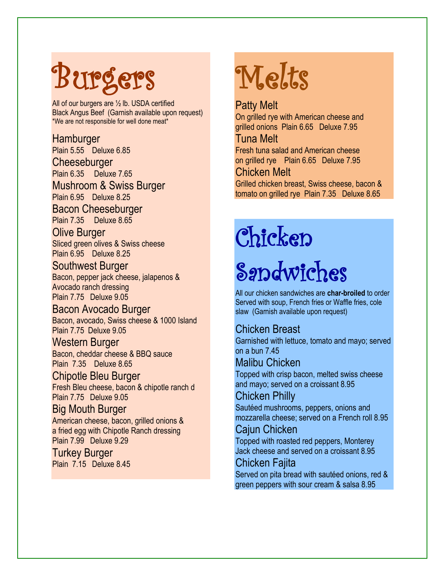# Burgers

All of our burgers are ½ lb. USDA certified Black Angus Beef (Garnish available upon request) \*We are not responsible for well done meat\*

#### **Hamburger**

Plain 5.55 Deluxe 6.85

**Cheeseburger** 

Plain 6.35 Deluxe 7.65 Mushroom & Swiss Burger Plain 6.95 Deluxe 8.25

Bacon Cheeseburger

Plain 7.35 Deluxe 8.65

Olive Burger Sliced green olives & Swiss cheese Plain 6.95 Deluxe 8.25

#### Southwest Burger

Bacon, pepper jack cheese, jalapenos & Avocado ranch dressing Plain 7.75 Deluxe 9.05

Bacon Avocado Burger Bacon, avocado, Swiss cheese & 1000 Island Plain 7.75 Deluxe 9.05

#### Western Burger

Bacon, cheddar cheese & BBQ sauce Plain 7.35 Deluxe 8.65

#### Chipotle Bleu Burger

Fresh Bleu cheese, bacon & chipotle ranch d Plain 7.75 Deluxe 9.05

#### Big Mouth Burger

American cheese, bacon, grilled onions & a fried egg with Chipotle Ranch dressing Plain 7.99 Deluxe 9.29

Turkey Burger Plain 7.15 Deluxe 8.45

## Melts

Patty Melt On grilled rye with American cheese and grilled onions Plain 6.65 Deluxe 7.95

#### Tuna Melt

Fresh tuna salad and American cheese on grilled rye Plain 6.65 Deluxe 7.95

#### Chicken Melt

Grilled chicken breast, Swiss cheese, bacon & tomato on grilled rye Plain 7.35 Deluxe 8.65

## Chicken

## Sandwiches

All our chicken sandwiches are **char-broiled** to order Served with soup, French fries or Waffle fries, cole slaw (Garnish available upon request)

#### Chicken Breast

Garnished with lettuce, tomato and mayo; served on a bun 7.45

#### Malibu Chicken

Topped with crisp bacon, melted swiss cheese and mayo; served on a croissant 8.95

#### Chicken Philly

Sautéed mushrooms, peppers, onions and mozzarella cheese; served on a French roll 8.95

#### Cajun Chicken

Topped with roasted red peppers, Monterey Jack cheese and served on a croissant 8.95

#### Chicken Fajita

Served on pita bread with sautéed onions, red & green peppers with sour cream & salsa 8.95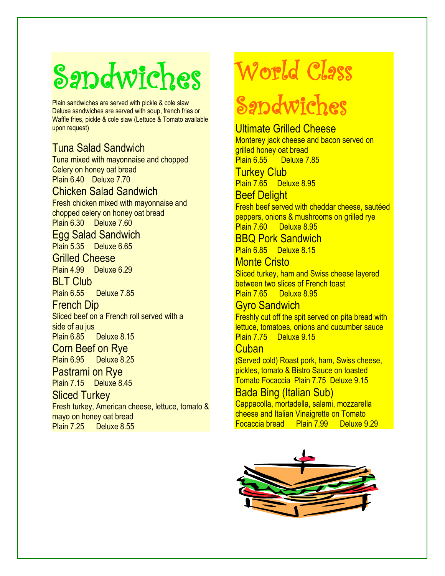# Sandwiches

Plain sandwiches are served with pickle & cole slaw Deluxe sandwiches are served with soup, french fries or Waffle fries, pickle & cole slaw (Lettuce & Tomato available upon request)

#### Tuna Salad Sandwich

Tuna mixed with mayonnaise and chopped Celery on honey oat bread Plain 6.40 Deluxe 7.70 Chicken Salad Sandwich Fresh chicken mixed with mayonnaise and chopped celery on honey oat bread Plain 6.30 Deluxe 7.60

#### Egg Salad Sandwich

Plain 5.35 Deluxe 6.65

#### Grilled Cheese

Plain 4.99 Deluxe 6.29

**BLT Club** 

Plain 6.55 Deluxe 7.85

#### French Dip

Sliced beef on a French roll served with a side of au jus

Plain 6.85 Deluxe 8.15

Corn Beef on Rye Plain 6.95 Deluxe 8.25

#### Pastrami on Rye

Plain 7.15 Deluxe 8.45

#### Sliced Turkey

Fresh turkey, American cheese, lettuce, tomato & mayo on honey oat bread Plain 7.25 Deluxe 8.55

### World Class

## Sandwiches

#### Ultimate Grilled Cheese

Monterey jack cheese and bacon served on grilled honey oat bread Plain 6.55 Deluxe 7.85

**Turkey Club** 

Plain 7.65 Deluxe 8.95

Beef Delight

Fresh beef served with cheddar cheese, sautéed peppers, onions & mushrooms on grilled rye Plain 7.60 Deluxe 8.95

BBQ Pork Sandwich

Plain 6.85 Deluxe 8.15 Monte Cristo

#### Sliced turkey, ham and Swiss cheese layered between two slices of French toast Plain 7.65 Deluxe 8.95

#### Gyro Sandwich

Freshly cut off the spit served on pita bread with lettuce, tomatoes, onions and cucumber sauce Plain 7.75 Deluxe 9.15

#### **Cuban**

(Served cold) Roast pork, ham, Swiss cheese, pickles, tomato & Bistro Sauce on toasted Tomato Focaccia Plain 7.75 Deluxe 9.15

#### Bada Bing (Italian Sub)

Cappacolla, mortadella, salami, mozzarella cheese and Italian Vinaigrette on Tomato Focaccia bread Plain 7.99 Deluxe 9.29

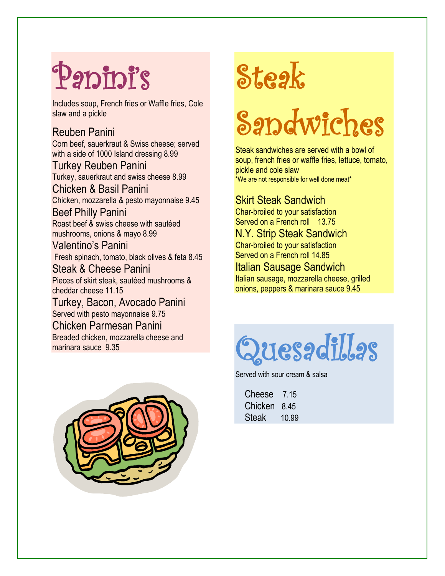# Panini's

Includes soup, French fries or Waffle fries, Cole slaw and a pickle

#### Reuben Panini

Corn beef, sauerkraut & Swiss cheese; served with a side of 1000 Island dressing 8.99 Turkey Reuben Panini

Turkey, sauerkraut and swiss cheese 8.99 Chicken & Basil Panini Chicken, mozzarella & pesto mayonnaise 9.45 Beef Philly Panini Roast beef & swiss cheese with sautéed mushrooms, onions & mayo 8.99 Valentino's Panini Fresh spinach, tomato, black olives & feta 8.45 Steak & Cheese Panini Pieces of skirt steak, sautéed mushrooms & cheddar cheese 11.15

Turkey, Bacon, Avocado Panini Served with pesto mayonnaise 9.75 Chicken Parmesan Panini Breaded chicken, mozzarella cheese and marinara sauce 9.35



# Steak

# Sandwiches

Steak sandwiches are served with a bowl of soup, french fries or waffle fries, lettuce, tomato, pickle and cole slaw \*We are not responsible for well done meat\*

#### Skirt Steak Sandwich

Char-broiled to your satisfaction Served on a French roll 13.75 N.Y. Strip Steak Sandwich Char-broiled to your satisfaction Served on a French roll 14.85

Italian Sausage Sandwich Italian sausage, mozzarella cheese, grilled onions, peppers & marinara sauce 9.45



Served with sour cream & salsa

| Cheese  | 7 15  |
|---------|-------|
| Chicken | 8.45  |
| Steak   | 10.99 |